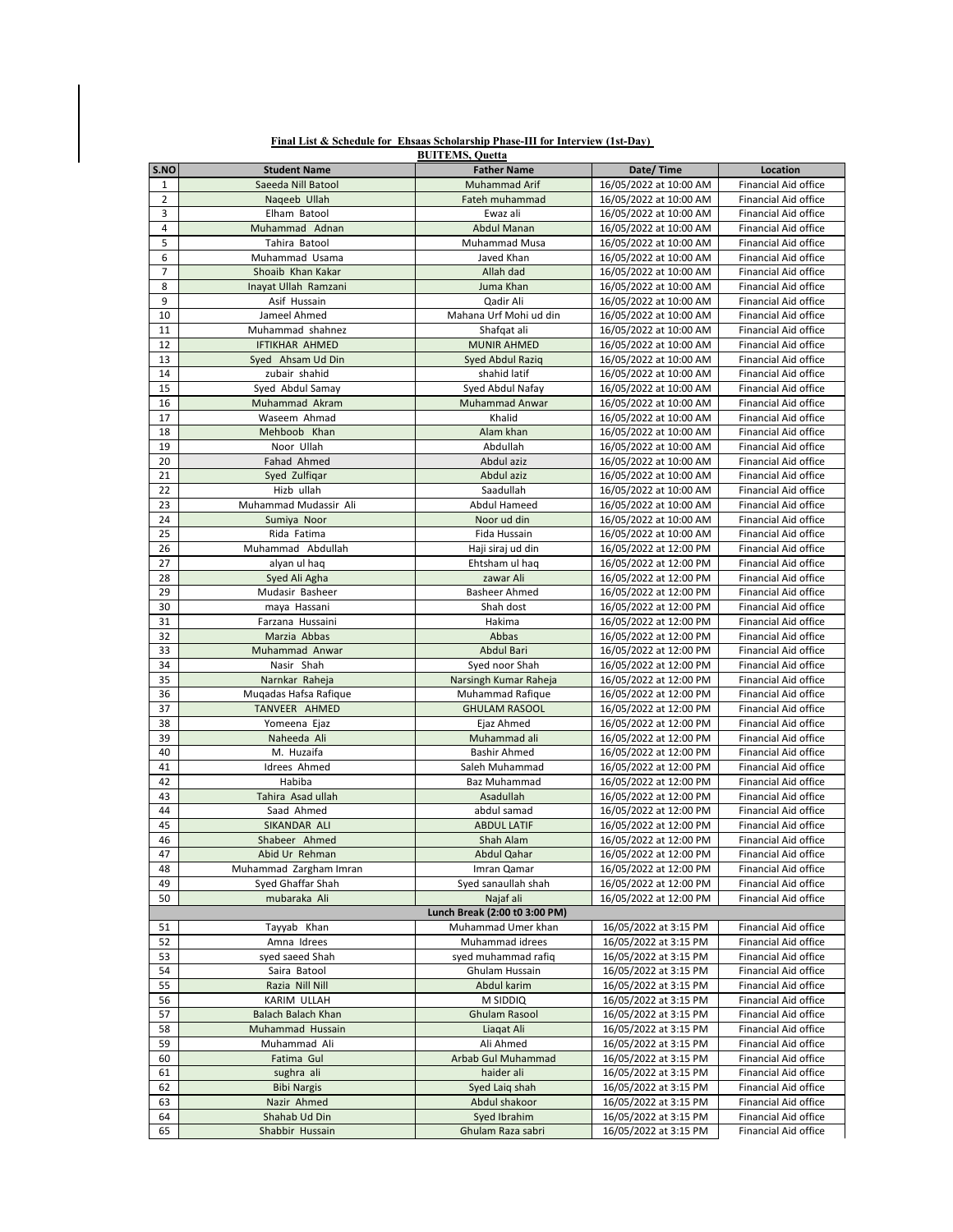|                |                           | <b>BUITEMS, Quetta</b>        |                        |                             |
|----------------|---------------------------|-------------------------------|------------------------|-----------------------------|
| S.NO           | <b>Student Name</b>       | <b>Father Name</b>            | Date/Time              | <b>Location</b>             |
| $\mathbf{1}$   | Saeeda Nill Batool        | <b>Muhammad Arif</b>          | 16/05/2022 at 10:00 AM | <b>Financial Aid office</b> |
| $\overline{2}$ | Nageeb Ullah              | Fateh muhammad                | 16/05/2022 at 10:00 AM | <b>Financial Aid office</b> |
| 3              | Elham Batool              | Ewaz ali                      | 16/05/2022 at 10:00 AM | <b>Financial Aid office</b> |
|                | Muhammad Adnan            | <b>Abdul Manan</b>            | 16/05/2022 at 10:00 AM | <b>Financial Aid office</b> |
| 4              |                           |                               |                        |                             |
| 5              | Tahira Batool             | <b>Muhammad Musa</b>          | 16/05/2022 at 10:00 AM | <b>Financial Aid office</b> |
| 6              | Muhammad Usama            | Javed Khan                    | 16/05/2022 at 10:00 AM | <b>Financial Aid office</b> |
| $\overline{7}$ | Shoaib Khan Kakar         | Allah dad                     | 16/05/2022 at 10:00 AM | <b>Financial Aid office</b> |
| 8              | Inayat Ullah Ramzani      | Juma Khan                     | 16/05/2022 at 10:00 AM | <b>Financial Aid office</b> |
| 9              | Asif Hussain              | Qadir Ali                     | 16/05/2022 at 10:00 AM | <b>Financial Aid office</b> |
| 10             | Jameel Ahmed              | Mahana Urf Mohi ud din        | 16/05/2022 at 10:00 AM | <b>Financial Aid office</b> |
| 11             | Muhammad shahnez          | Shafqat ali                   | 16/05/2022 at 10:00 AM | <b>Financial Aid office</b> |
|                |                           |                               |                        |                             |
| 12             | <b>IFTIKHAR AHMED</b>     | <b>MUNIR AHMED</b>            | 16/05/2022 at 10:00 AM | <b>Financial Aid office</b> |
| 13             | Syed Ahsam Ud Din         | Syed Abdul Raziq              | 16/05/2022 at 10:00 AM | <b>Financial Aid office</b> |
| 14             | zubair shahid             | shahid latif                  | 16/05/2022 at 10:00 AM | <b>Financial Aid office</b> |
| 15             | Syed Abdul Samay          | Syed Abdul Nafay              | 16/05/2022 at 10:00 AM | <b>Financial Aid office</b> |
| 16             | Muhammad Akram            | <b>Muhammad Anwar</b>         | 16/05/2022 at 10:00 AM | <b>Financial Aid office</b> |
| 17             | Waseem Ahmad              | Khalid                        | 16/05/2022 at 10:00 AM | <b>Financial Aid office</b> |
| 18             | Mehboob Khan              | Alam khan                     | 16/05/2022 at 10:00 AM | <b>Financial Aid office</b> |
|                |                           |                               |                        |                             |
| 19             | Noor Ullah                | Abdullah                      | 16/05/2022 at 10:00 AM | <b>Financial Aid office</b> |
| 20             | Fahad Ahmed               | Abdul aziz                    | 16/05/2022 at 10:00 AM | <b>Financial Aid office</b> |
| 21             | Syed Zulfiqar             | Abdul aziz                    | 16/05/2022 at 10:00 AM | <b>Financial Aid office</b> |
| 22             | Hizb ullah                | Saadullah                     | 16/05/2022 at 10:00 AM | <b>Financial Aid office</b> |
| 23             | Muhammad Mudassir Ali     | <b>Abdul Hameed</b>           | 16/05/2022 at 10:00 AM | <b>Financial Aid office</b> |
| 24             | Sumiya Noor               | Noor ud din                   | 16/05/2022 at 10:00 AM | <b>Financial Aid office</b> |
| 25             | Rida Fatima               | Fida Hussain                  | 16/05/2022 at 10:00 AM | <b>Financial Aid office</b> |
|                |                           |                               |                        |                             |
| 26             | Muhammad Abdullah         | Haji siraj ud din             | 16/05/2022 at 12:00 PM | <b>Financial Aid office</b> |
| 27             | alyan ul haq              | Ehtsham ul haq                | 16/05/2022 at 12:00 PM | <b>Financial Aid office</b> |
| 28             | Syed Ali Agha             | zawar Ali                     | 16/05/2022 at 12:00 PM | <b>Financial Aid office</b> |
| 29             | Mudasir Basheer           | <b>Basheer Ahmed</b>          | 16/05/2022 at 12:00 PM | <b>Financial Aid office</b> |
| 30             | maya Hassani              | Shah dost                     | 16/05/2022 at 12:00 PM | Financial Aid office        |
| 31             | Farzana Hussaini          | Hakima                        | 16/05/2022 at 12:00 PM | <b>Financial Aid office</b> |
| 32             | Marzia Abbas              | Abbas                         | 16/05/2022 at 12:00 PM | <b>Financial Aid office</b> |
|                |                           |                               |                        |                             |
| 33             | Muhammad Anwar            | Abdul Bari                    | 16/05/2022 at 12:00 PM | <b>Financial Aid office</b> |
| 34             | Nasir Shah                | Syed noor Shah                | 16/05/2022 at 12:00 PM | <b>Financial Aid office</b> |
| 35             | Narnkar Raheja            | Narsingh Kumar Raheja         | 16/05/2022 at 12:00 PM | <b>Financial Aid office</b> |
| 36             | Mugadas Hafsa Rafique     | <b>Muhammad Rafique</b>       | 16/05/2022 at 12:00 PM | Financial Aid office        |
| 37             | TANVEER AHMED             | <b>GHULAM RASOOL</b>          | 16/05/2022 at 12:00 PM | <b>Financial Aid office</b> |
| 38             | Yomeena Ejaz              | Ejaz Ahmed                    | 16/05/2022 at 12:00 PM | <b>Financial Aid office</b> |
| 39             | Naheeda Ali               | Muhammad ali                  | 16/05/2022 at 12:00 PM | <b>Financial Aid office</b> |
|                |                           |                               |                        |                             |
| 40             | M. Huzaifa                | <b>Bashir Ahmed</b>           | 16/05/2022 at 12:00 PM | <b>Financial Aid office</b> |
| 41             | Idrees Ahmed              | Saleh Muhammad                | 16/05/2022 at 12:00 PM | <b>Financial Aid office</b> |
| 42             | Habiba                    | <b>Baz Muhammad</b>           | 16/05/2022 at 12:00 PM | <b>Financial Aid office</b> |
| 43             | Tahira Asad ullah         | Asadullah                     | 16/05/2022 at 12:00 PM | <b>Financial Aid office</b> |
| 44             | Saad Ahmed                | abdul samad                   | 16/05/2022 at 12:00 PM | Financial Aid office        |
| 45             | SIKANDAR ALI              | <b>ABDUL LATIF</b>            | 16/05/2022 at 12:00 PM | <b>Financial Aid office</b> |
| 46             | Shabeer Ahmed             | Shah Alam                     | 16/05/2022 at 12:00 PM | <b>Financial Aid office</b> |
| 47             | Abid Ur Rehman            |                               |                        | <b>Financial Aid office</b> |
|                |                           | <b>Abdul Qahar</b>            | 16/05/2022 at 12:00 PM |                             |
| 48             | Muhammad Zargham Imran    | Imran Qamar                   | 16/05/2022 at 12:00 PM | <b>Financial Aid office</b> |
| 49             | Syed Ghaffar Shah         | Syed sanaullah shah           | 16/05/2022 at 12:00 PM | <b>Financial Aid office</b> |
| 50             | mubaraka Ali              | Najaf ali                     | 16/05/2022 at 12:00 PM | <b>Financial Aid office</b> |
|                |                           | Lunch Break (2:00 t0 3:00 PM) |                        |                             |
| 51             | Tayyab Khan               | Muhammad Umer khan            | 16/05/2022 at 3:15 PM  | <b>Financial Aid office</b> |
| 52             | Amna Idrees               | Muhammad idrees               | 16/05/2022 at 3:15 PM  | <b>Financial Aid office</b> |
| 53             | syed saeed Shah           | syed muhammad rafiq           | 16/05/2022 at 3:15 PM  | <b>Financial Aid office</b> |
|                |                           |                               |                        |                             |
| 54             | Saira Batool              | <b>Ghulam Hussain</b>         | 16/05/2022 at 3:15 PM  | <b>Financial Aid office</b> |
| 55             | Razia Nill Nill           | Abdul karim                   | 16/05/2022 at 3:15 PM  | <b>Financial Aid office</b> |
| 56             | KARIM ULLAH               | M SIDDIQ                      | 16/05/2022 at 3:15 PM  | <b>Financial Aid office</b> |
| 57             | <b>Balach Balach Khan</b> | <b>Ghulam Rasool</b>          | 16/05/2022 at 3:15 PM  | <b>Financial Aid office</b> |
| 58             | Muhammad Hussain          | Liagat Ali                    | 16/05/2022 at 3:15 PM  | <b>Financial Aid office</b> |
| 59             | Muhammad Ali              | Ali Ahmed                     | 16/05/2022 at 3:15 PM  | <b>Financial Aid office</b> |
|                |                           |                               |                        |                             |
| 60             | Fatima Gul                | <b>Arbab Gul Muhammad</b>     | 16/05/2022 at 3:15 PM  | Financial Aid office        |
| 61             | sughra ali                | haider ali                    | 16/05/2022 at 3:15 PM  | <b>Financial Aid office</b> |
| 62             | <b>Bibi Nargis</b>        | Syed Laig shah                | 16/05/2022 at 3:15 PM  | <b>Financial Aid office</b> |
| 63             | Nazir Ahmed               | Abdul shakoor                 | 16/05/2022 at 3:15 PM  | <b>Financial Aid office</b> |
| 64             | Shahab Ud Din             | Syed Ibrahim                  | 16/05/2022 at 3:15 PM  | <b>Financial Aid office</b> |
| 65             | Shabbir Hussain           | Ghulam Raza sabri             | 16/05/2022 at 3:15 PM  | Financial Aid office        |
|                |                           |                               |                        |                             |

**Final List & Schedule for Ehsaas Scholarship Phase-III for Interview (1st-Day)**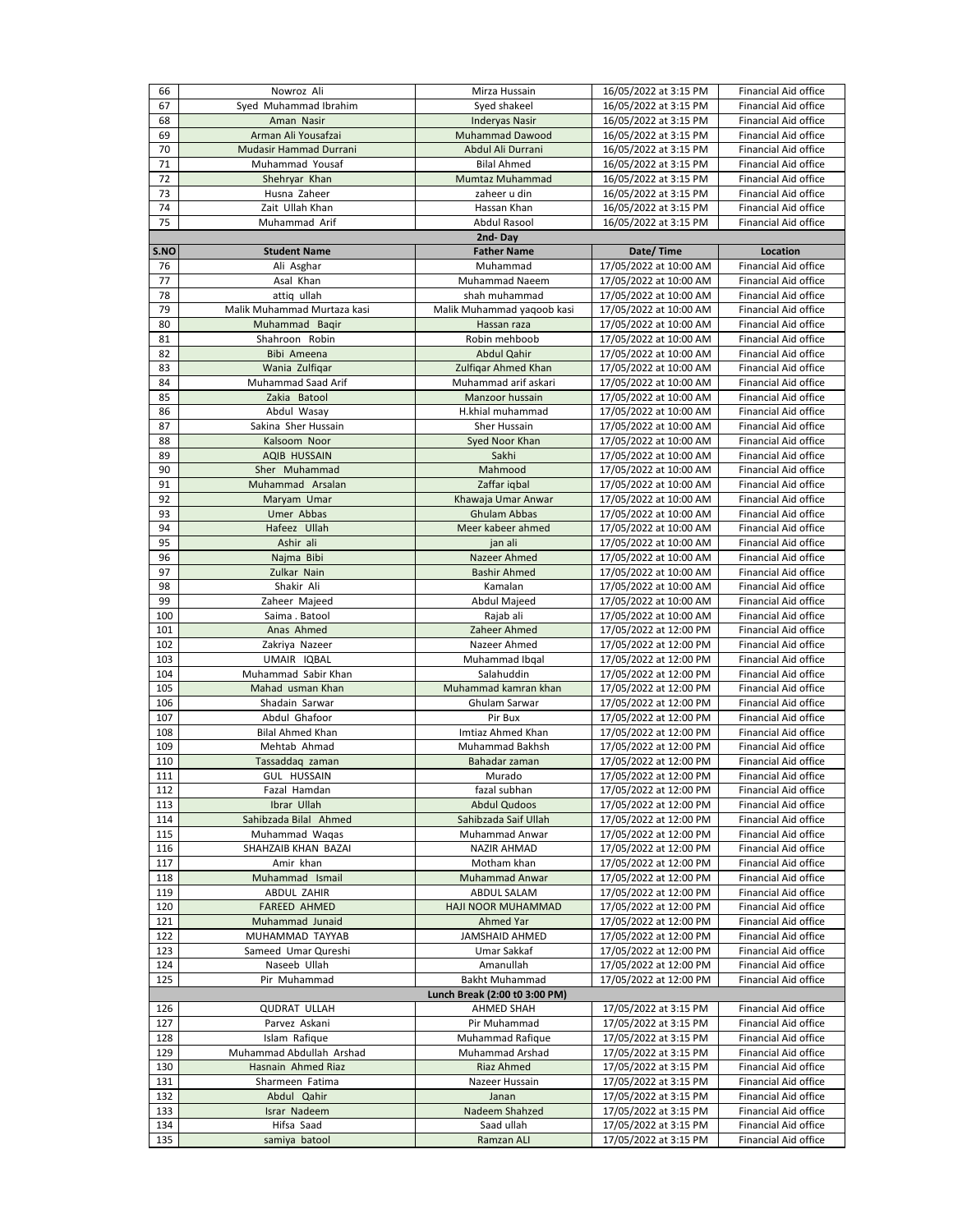| 66   | Nowroz Ali                  | Mirza Hussain                 | 16/05/2022 at 3:15 PM  | <b>Financial Aid office</b> |
|------|-----------------------------|-------------------------------|------------------------|-----------------------------|
| 67   |                             |                               |                        | <b>Financial Aid office</b> |
|      | Syed Muhammad Ibrahim       | Syed shakeel                  | 16/05/2022 at 3:15 PM  |                             |
| 68   | Aman Nasir                  | <b>Inderyas Nasir</b>         | 16/05/2022 at 3:15 PM  | <b>Financial Aid office</b> |
| 69   | Arman Ali Yousafzai         | <b>Muhammad Dawood</b>        | 16/05/2022 at 3:15 PM  | <b>Financial Aid office</b> |
| 70   | Mudasir Hammad Durrani      | Abdul Ali Durrani             | 16/05/2022 at 3:15 PM  | <b>Financial Aid office</b> |
| 71   | Muhammad Yousaf             | <b>Bilal Ahmed</b>            | 16/05/2022 at 3:15 PM  | <b>Financial Aid office</b> |
| 72   | Shehryar Khan               | Mumtaz Muhammad               | 16/05/2022 at 3:15 PM  | <b>Financial Aid office</b> |
| 73   | Husna Zaheer                | zaheer u din                  | 16/05/2022 at 3:15 PM  | <b>Financial Aid office</b> |
|      | Zait Ullah Khan             | Hassan Khan                   |                        | <b>Financial Aid office</b> |
| 74   |                             |                               | 16/05/2022 at 3:15 PM  |                             |
| 75   | Muhammad Arif               | <b>Abdul Rasool</b>           | 16/05/2022 at 3:15 PM  | <b>Financial Aid office</b> |
|      |                             | 2nd-Day                       |                        |                             |
| S.NO | <b>Student Name</b>         | <b>Father Name</b>            | Date/Time              | <b>Location</b>             |
| 76   | Ali Asghar                  | Muhammad                      | 17/05/2022 at 10:00 AM | <b>Financial Aid office</b> |
| 77   | Asal Khan                   | <b>Muhammad Naeem</b>         | 17/05/2022 at 10:00 AM | <b>Financial Aid office</b> |
| 78   | attiq ullah                 | shah muhammad                 | 17/05/2022 at 10:00 AM | <b>Financial Aid office</b> |
| 79   | Malik Muhammad Murtaza kasi | Malik Muhammad yaqoob kasi    | 17/05/2022 at 10:00 AM | <b>Financial Aid office</b> |
| 80   | Muhammad Baqir              | Hassan raza                   | 17/05/2022 at 10:00 AM | <b>Financial Aid office</b> |
|      |                             |                               |                        |                             |
| 81   | Shahroon Robin              | Robin mehboob                 | 17/05/2022 at 10:00 AM | <b>Financial Aid office</b> |
| 82   | Bibi Ameena                 | <b>Abdul Qahir</b>            | 17/05/2022 at 10:00 AM | <b>Financial Aid office</b> |
| 83   | Wania Zulfiqar              | Zulfiqar Ahmed Khan           | 17/05/2022 at 10:00 AM | <b>Financial Aid office</b> |
| 84   | Muhammad Saad Arif          | Muhammad arif askari          | 17/05/2022 at 10:00 AM | <b>Financial Aid office</b> |
| 85   | Zakia Batool                | Manzoor hussain               | 17/05/2022 at 10:00 AM | <b>Financial Aid office</b> |
| 86   | Abdul Wasay                 | H.khial muhammad              | 17/05/2022 at 10:00 AM | <b>Financial Aid office</b> |
| 87   | Sakina Sher Hussain         | <b>Sher Hussain</b>           | 17/05/2022 at 10:00 AM | <b>Financial Aid office</b> |
| 88   | Kalsoom Noor                | Syed Noor Khan                | 17/05/2022 at 10:00 AM | <b>Financial Aid office</b> |
|      |                             |                               |                        |                             |
| 89   | <b>AQIB HUSSAIN</b>         | Sakhi                         | 17/05/2022 at 10:00 AM | <b>Financial Aid office</b> |
| 90   | Sher Muhammad               | Mahmood                       | 17/05/2022 at 10:00 AM | <b>Financial Aid office</b> |
| 91   | Muhammad Arsalan            | Zaffar iqbal                  | 17/05/2022 at 10:00 AM | <b>Financial Aid office</b> |
| 92   | Maryam Umar                 | Khawaja Umar Anwar            | 17/05/2022 at 10:00 AM | <b>Financial Aid office</b> |
| 93   | Umer Abbas                  | <b>Ghulam Abbas</b>           | 17/05/2022 at 10:00 AM | <b>Financial Aid office</b> |
| 94   | Hafeez Ullah                | Meer kabeer ahmed             | 17/05/2022 at 10:00 AM | <b>Financial Aid office</b> |
| 95   | Ashir ali                   | jan ali                       | 17/05/2022 at 10:00 AM | <b>Financial Aid office</b> |
| 96   | Najma Bibi                  | Nazeer Ahmed                  | 17/05/2022 at 10:00 AM | <b>Financial Aid office</b> |
| 97   | Zulkar Nain                 | <b>Bashir Ahmed</b>           | 17/05/2022 at 10:00 AM | Financial Aid office        |
|      |                             |                               |                        |                             |
| 98   | Shakir Ali                  | Kamalan                       | 17/05/2022 at 10:00 AM | <b>Financial Aid office</b> |
| 99   | Zaheer Majeed               | Abdul Majeed                  | 17/05/2022 at 10:00 AM | <b>Financial Aid office</b> |
| 100  | Saima . Batool              | Rajab ali                     | 17/05/2022 at 10:00 AM | <b>Financial Aid office</b> |
| 101  | Anas Ahmed                  | Zaheer Ahmed                  | 17/05/2022 at 12:00 PM | <b>Financial Aid office</b> |
| 102  | Zakriya Nazeer              | Nazeer Ahmed                  | 17/05/2022 at 12:00 PM | <b>Financial Aid office</b> |
| 103  | UMAIR IQBAL                 | Muhammad Ibqal                | 17/05/2022 at 12:00 PM | <b>Financial Aid office</b> |
| 104  | Muhammad Sabir Khan         | Salahuddin                    | 17/05/2022 at 12:00 PM | <b>Financial Aid office</b> |
| 105  | Mahad usman Khan            | Muhammad kamran khan          | 17/05/2022 at 12:00 PM | <b>Financial Aid office</b> |
| 106  | Shadain Sarwar              | Ghulam Sarwar                 | 17/05/2022 at 12:00 PM | <b>Financial Aid office</b> |
|      |                             |                               |                        |                             |
| 107  | Abdul Ghafoor               | Pir Bux                       | 17/05/2022 at 12:00 PM | <b>Financial Aid office</b> |
| 108  | <b>Bilal Ahmed Khan</b>     | Imtiaz Ahmed Khan             | 17/05/2022 at 12:00 PM | <b>Financial Aid office</b> |
| 109  | Mehtab Ahmad                | Muhammad Bakhsh               | 17/05/2022 at 12:00 PM | <b>Financial Aid office</b> |
| 110  | Tassaddaq zaman             | Bahadar zaman                 | 17/05/2022 at 12:00 PM | <b>Financial Aid office</b> |
| 111  | <b>GUL HUSSAIN</b>          | Murado                        | 17/05/2022 at 12:00 PM | <b>Financial Aid office</b> |
| 112  | Fazal Hamdan                | fazal subhan                  | 17/05/2022 at 12:00 PM | <b>Financial Aid office</b> |
| 113  | Ibrar Ullah                 | <b>Abdul Qudoos</b>           | 17/05/2022 at 12:00 PM | <b>Financial Aid office</b> |
| 114  | Sahibzada Bilal Ahmed       | Sahibzada Saif Ullah          | 17/05/2022 at 12:00 PM | <b>Financial Aid office</b> |
| 115  | Muhammad Waqas              | <b>Muhammad Anwar</b>         | 17/05/2022 at 12:00 PM | <b>Financial Aid office</b> |
| 116  | SHAHZAIB KHAN BAZAI         | <b>NAZIR AHMAD</b>            | 17/05/2022 at 12:00 PM | <b>Financial Aid office</b> |
| 117  | Amir khan                   | Motham khan                   | 17/05/2022 at 12:00 PM | <b>Financial Aid office</b> |
|      |                             |                               |                        |                             |
| 118  | Muhammad Ismail             | Muhammad Anwar                | 17/05/2022 at 12:00 PM | <b>Financial Aid office</b> |
| 119  | <b>ABDUL ZAHIR</b>          | <b>ABDUL SALAM</b>            | 17/05/2022 at 12:00 PM | <b>Financial Aid office</b> |
| 120  | <b>FAREED AHMED</b>         | HAJI NOOR MUHAMMAD            | 17/05/2022 at 12:00 PM | <b>Financial Aid office</b> |
| 121  | Muhammad Junaid             | <b>Ahmed Yar</b>              | 17/05/2022 at 12:00 PM | <b>Financial Aid office</b> |
| 122  | MUHAMMAD TAYYAB             | <b>JAMSHAID AHMED</b>         | 17/05/2022 at 12:00 PM | <b>Financial Aid office</b> |
| 123  | Sameed Umar Qureshi         | <b>Umar Sakkaf</b>            | 17/05/2022 at 12:00 PM | Financial Aid office        |
| 124  | Naseeb Ullah                | Amanullah                     | 17/05/2022 at 12:00 PM | <b>Financial Aid office</b> |
| 125  | Pir Muhammad                | <b>Bakht Muhammad</b>         | 17/05/2022 at 12:00 PM | <b>Financial Aid office</b> |
|      |                             | Lunch Break (2:00 t0 3:00 PM) |                        |                             |
|      |                             |                               |                        |                             |
| 126  | <b>QUDRAT ULLAH</b>         | <b>AHMED SHAH</b>             | 17/05/2022 at 3:15 PM  | <b>Financial Aid office</b> |
| 127  | Parvez Askani               | Pir Muhammad                  | 17/05/2022 at 3:15 PM  | Financial Aid office        |
| 128  | Islam Rafique               | <b>Muhammad Rafique</b>       | 17/05/2022 at 3:15 PM  | Financial Aid office        |
| 129  | Muhammad Abdullah Arshad    | Muhammad Arshad               | 17/05/2022 at 3:15 PM  | <b>Financial Aid office</b> |
| 130  | Hasnain Ahmed Riaz          | <b>Riaz Ahmed</b>             | 17/05/2022 at 3:15 PM  | Financial Aid office        |
| 131  | Sharmeen Fatima             | Nazeer Hussain                | 17/05/2022 at 3:15 PM  | <b>Financial Aid office</b> |
| 132  | Abdul Qahir                 | Janan                         | 17/05/2022 at 3:15 PM  | <b>Financial Aid office</b> |
| 133  | <b>Israr Nadeem</b>         | Nadeem Shahzed                | 17/05/2022 at 3:15 PM  | Financial Aid office        |
|      |                             |                               |                        |                             |
| 134  | Hifsa Saad                  | Saad ullah                    | 17/05/2022 at 3:15 PM  | <b>Financial Aid office</b> |
| 135  | samiya batool               | Ramzan ALI                    | 17/05/2022 at 3:15 PM  | Financial Aid office        |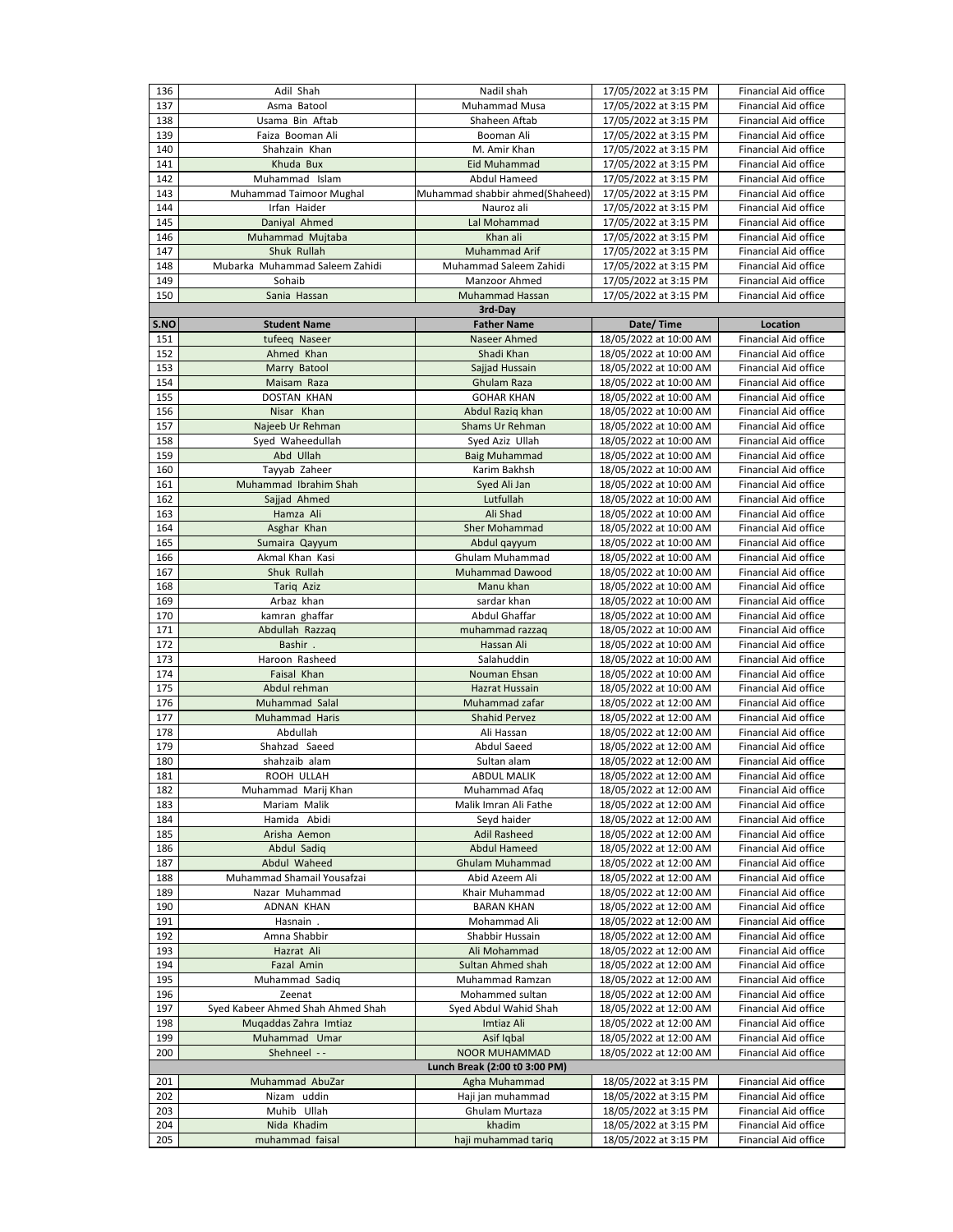| 136                           | Adil Shah                                | Nadil shah                                     | 17/05/2022 at 3:15 PM                            | <b>Financial Aid office</b>                                |  |  |
|-------------------------------|------------------------------------------|------------------------------------------------|--------------------------------------------------|------------------------------------------------------------|--|--|
| 137                           | Asma Batool                              | <b>Muhammad Musa</b>                           | 17/05/2022 at 3:15 PM                            | <b>Financial Aid office</b>                                |  |  |
| 138                           | Usama Bin Aftab                          | Shaheen Aftab                                  | 17/05/2022 at 3:15 PM                            | <b>Financial Aid office</b>                                |  |  |
| 139                           | Faiza Booman Ali                         | Booman Ali                                     | 17/05/2022 at 3:15 PM                            | Financial Aid office                                       |  |  |
| 140                           | Shahzain Khan                            | M. Amir Khan                                   | 17/05/2022 at 3:15 PM                            | Financial Aid office                                       |  |  |
| 141                           | Khuda Bux                                | <b>Eid Muhammad</b>                            | 17/05/2022 at 3:15 PM                            | Financial Aid office                                       |  |  |
| 142                           | Muhammad Islam                           | Abdul Hameed                                   | 17/05/2022 at 3:15 PM                            | <b>Financial Aid office</b>                                |  |  |
| 143                           | Muhammad Taimoor Mughal                  | Muhammad shabbir ahmed(Shaheed)                | 17/05/2022 at 3:15 PM                            | <b>Financial Aid office</b>                                |  |  |
| 144                           | Irfan Haider                             | Nauroz ali                                     | 17/05/2022 at 3:15 PM                            | <b>Financial Aid office</b>                                |  |  |
| 145                           | Daniyal Ahmed                            | Lal Mohammad                                   | 17/05/2022 at 3:15 PM                            | Financial Aid office                                       |  |  |
| 146                           | Muhammad Mujtaba                         | Khan ali                                       | 17/05/2022 at 3:15 PM                            | <b>Financial Aid office</b>                                |  |  |
| 147                           | Shuk Rullah                              | <b>Muhammad Arif</b><br>Muhammad Saleem Zahidi | 17/05/2022 at 3:15 PM                            | <b>Financial Aid office</b>                                |  |  |
| 148<br>149                    | Mubarka Muhammad Saleem Zahidi<br>Sohaib | Manzoor Ahmed                                  | 17/05/2022 at 3:15 PM<br>17/05/2022 at 3:15 PM   | <b>Financial Aid office</b><br><b>Financial Aid office</b> |  |  |
| 150                           | Sania Hassan                             | <b>Muhammad Hassan</b>                         | 17/05/2022 at 3:15 PM                            | <b>Financial Aid office</b>                                |  |  |
|                               |                                          | 3rd-Day                                        |                                                  |                                                            |  |  |
| S.NO                          | <b>Student Name</b>                      | <b>Father Name</b>                             | Date/Time                                        | <b>Location</b>                                            |  |  |
| 151                           | tufeeq Naseer                            | Naseer Ahmed                                   | 18/05/2022 at 10:00 AM                           | <b>Financial Aid office</b>                                |  |  |
| 152                           | Ahmed Khan                               | Shadi Khan                                     | 18/05/2022 at 10:00 AM                           | <b>Financial Aid office</b>                                |  |  |
| 153                           | Marry Batool                             | Sajjad Hussain                                 | 18/05/2022 at 10:00 AM                           | Financial Aid office                                       |  |  |
| 154                           | Maisam Raza                              | <b>Ghulam Raza</b>                             | 18/05/2022 at 10:00 AM                           | <b>Financial Aid office</b>                                |  |  |
| 155                           | <b>DOSTAN KHAN</b>                       | <b>GOHAR KHAN</b>                              | 18/05/2022 at 10:00 AM                           | <b>Financial Aid office</b>                                |  |  |
| 156                           | Nisar Khan                               | Abdul Raziq khan                               | 18/05/2022 at 10:00 AM                           | <b>Financial Aid office</b>                                |  |  |
| 157                           | Najeeb Ur Rehman                         | <b>Shams Ur Rehman</b>                         | 18/05/2022 at 10:00 AM                           | <b>Financial Aid office</b>                                |  |  |
| 158<br>159                    | Syed Waheedullah<br>Abd Ullah            | Syed Aziz Ullah                                | 18/05/2022 at 10:00 AM                           | Financial Aid office<br><b>Financial Aid office</b>        |  |  |
| 160                           | Tayyab Zaheer                            | <b>Baig Muhammad</b><br>Karim Bakhsh           | 18/05/2022 at 10:00 AM<br>18/05/2022 at 10:00 AM | <b>Financial Aid office</b>                                |  |  |
| 161                           | Muhammad Ibrahim Shah                    | Syed Ali Jan                                   | 18/05/2022 at 10:00 AM                           | <b>Financial Aid office</b>                                |  |  |
| 162                           | Sajjad Ahmed                             | Lutfullah                                      | 18/05/2022 at 10:00 AM                           | <b>Financial Aid office</b>                                |  |  |
| 163                           | Hamza Ali                                | Ali Shad                                       | 18/05/2022 at 10:00 AM                           | Financial Aid office                                       |  |  |
| 164                           | Asghar Khan                              | <b>Sher Mohammad</b>                           | 18/05/2022 at 10:00 AM                           | <b>Financial Aid office</b>                                |  |  |
| 165                           | Sumaira Qayyum                           | Abdul qayyum                                   | 18/05/2022 at 10:00 AM                           | <b>Financial Aid office</b>                                |  |  |
| 166                           | Akmal Khan Kasi                          | <b>Ghulam Muhammad</b>                         | 18/05/2022 at 10:00 AM                           | <b>Financial Aid office</b>                                |  |  |
| 167                           | Shuk Rullah                              | <b>Muhammad Dawood</b>                         | 18/05/2022 at 10:00 AM                           | <b>Financial Aid office</b>                                |  |  |
| 168                           | Tariq Aziz                               | Manu khan                                      | 18/05/2022 at 10:00 AM                           | <b>Financial Aid office</b>                                |  |  |
| 169                           | Arbaz khan                               | sardar khan                                    | 18/05/2022 at 10:00 AM                           | <b>Financial Aid office</b>                                |  |  |
| 170                           | kamran ghaffar                           | <b>Abdul Ghaffar</b>                           | 18/05/2022 at 10:00 AM                           | <b>Financial Aid office</b>                                |  |  |
| 171<br>172                    | Abdullah Razzaq<br>Bashir.               | muhammad razzaq<br>Hassan Ali                  | 18/05/2022 at 10:00 AM<br>18/05/2022 at 10:00 AM | <b>Financial Aid office</b><br><b>Financial Aid office</b> |  |  |
| 173                           | Haroon Rasheed                           | Salahuddin                                     | 18/05/2022 at 10:00 AM                           | <b>Financial Aid office</b>                                |  |  |
| 174                           | Faisal Khan                              | <b>Nouman Ehsan</b>                            | 18/05/2022 at 10:00 AM                           | <b>Financial Aid office</b>                                |  |  |
| 175                           | Abdul rehman                             | <b>Hazrat Hussain</b>                          | 18/05/2022 at 10:00 AM                           | <b>Financial Aid office</b>                                |  |  |
| 176                           | Muhammad Salal                           | Muhammad zafar                                 | 18/05/2022 at 12:00 AM                           | <b>Financial Aid office</b>                                |  |  |
| 177                           | <b>Muhammad Haris</b>                    | <b>Shahid Pervez</b>                           | 18/05/2022 at 12:00 AM                           | <b>Financial Aid office</b>                                |  |  |
| 178                           | Abdullah                                 | Ali Hassan                                     | 18/05/2022 at 12:00 AM                           | <b>Financial Aid office</b>                                |  |  |
| 179                           | Shahzad Saeed                            | <b>Abdul Saeed</b>                             | 18/05/2022 at 12:00 AM                           | <b>Financial Aid office</b>                                |  |  |
| 180                           | shahzaib alam                            | Sultan alam                                    | 18/05/2022 at 12:00 AM                           | <b>Financial Aid office</b>                                |  |  |
| 181<br>182                    | ROOH ULLAH<br>Muhammad Marij Khan        | <b>ABDUL MALIK</b>                             | 18/05/2022 at 12:00 AM                           | <b>Financial Aid office</b><br><b>Financial Aid office</b> |  |  |
| 183                           | Mariam Malik                             | Muhammad Afaq<br>Malik Imran Ali Fathe         | 18/05/2022 at 12:00 AM<br>18/05/2022 at 12:00 AM | <b>Financial Aid office</b>                                |  |  |
| 184                           | Hamida Abidi                             | Seyd haider                                    | 18/05/2022 at 12:00 AM                           | <b>Financial Aid office</b>                                |  |  |
| 185                           | Arisha Aemon                             | <b>Adil Rasheed</b>                            | 18/05/2022 at 12:00 AM                           | <b>Financial Aid office</b>                                |  |  |
| 186                           | Abdul Sadiq                              | <b>Abdul Hameed</b>                            | 18/05/2022 at 12:00 AM                           | <b>Financial Aid office</b>                                |  |  |
| 187                           | <b>Abdul Waheed</b>                      | <b>Ghulam Muhammad</b>                         | 18/05/2022 at 12:00 AM                           | <b>Financial Aid office</b>                                |  |  |
| 188                           | Muhammad Shamail Yousafzai               | Abid Azeem Ali                                 | 18/05/2022 at 12:00 AM                           | <b>Financial Aid office</b>                                |  |  |
| 189                           | Nazar Muhammad                           | Khair Muhammad                                 | 18/05/2022 at 12:00 AM                           | <b>Financial Aid office</b>                                |  |  |
| 190                           | ADNAN KHAN                               | <b>BARAN KHAN</b>                              | 18/05/2022 at 12:00 AM                           | <b>Financial Aid office</b>                                |  |  |
| 191                           | Hasnain.                                 | Mohammad Ali                                   | 18/05/2022 at 12:00 AM                           | <b>Financial Aid office</b>                                |  |  |
| 192                           | Amna Shabbir                             | Shabbir Hussain<br>Ali Mohammad                | 18/05/2022 at 12:00 AM                           | <b>Financial Aid office</b><br><b>Financial Aid office</b> |  |  |
| 193<br>194                    | Hazrat Ali<br>Fazal Amin                 | Sultan Ahmed shah                              | 18/05/2022 at 12:00 AM<br>18/05/2022 at 12:00 AM | <b>Financial Aid office</b>                                |  |  |
| 195                           | Muhammad Sadiq                           | Muhammad Ramzan                                | 18/05/2022 at 12:00 AM                           | <b>Financial Aid office</b>                                |  |  |
| 196                           | Zeenat                                   | Mohammed sultan                                | 18/05/2022 at 12:00 AM                           | <b>Financial Aid office</b>                                |  |  |
| 197                           | Syed Kabeer Ahmed Shah Ahmed Shah        | Syed Abdul Wahid Shah                          | 18/05/2022 at 12:00 AM                           | Financial Aid office                                       |  |  |
| 198                           | Mugaddas Zahra Imtiaz                    | Imtiaz Ali                                     | 18/05/2022 at 12:00 AM                           | <b>Financial Aid office</b>                                |  |  |
| 199                           | Muhammad Umar                            | Asif Iqbal                                     | 18/05/2022 at 12:00 AM                           | <b>Financial Aid office</b>                                |  |  |
| 200                           | Shehneel --                              | <b>NOOR MUHAMMAD</b>                           | 18/05/2022 at 12:00 AM                           | <b>Financial Aid office</b>                                |  |  |
| Lunch Break (2:00 t0 3:00 PM) |                                          |                                                |                                                  |                                                            |  |  |
| 201                           | Muhammad AbuZar                          | Agha Muhammad                                  | 18/05/2022 at 3:15 PM                            | <b>Financial Aid office</b><br><b>Financial Aid office</b> |  |  |
| 202<br>203                    | Nizam uddin<br>Muhib Ullah               | Haji jan muhammad<br>Ghulam Murtaza            | 18/05/2022 at 3:15 PM<br>18/05/2022 at 3:15 PM   | <b>Financial Aid office</b>                                |  |  |
| 204                           | Nida Khadim                              | khadim                                         | 18/05/2022 at 3:15 PM                            | <b>Financial Aid office</b>                                |  |  |
| 205                           | muhammad faisal                          | haji muhammad tariq                            | 18/05/2022 at 3:15 PM                            | <b>Financial Aid office</b>                                |  |  |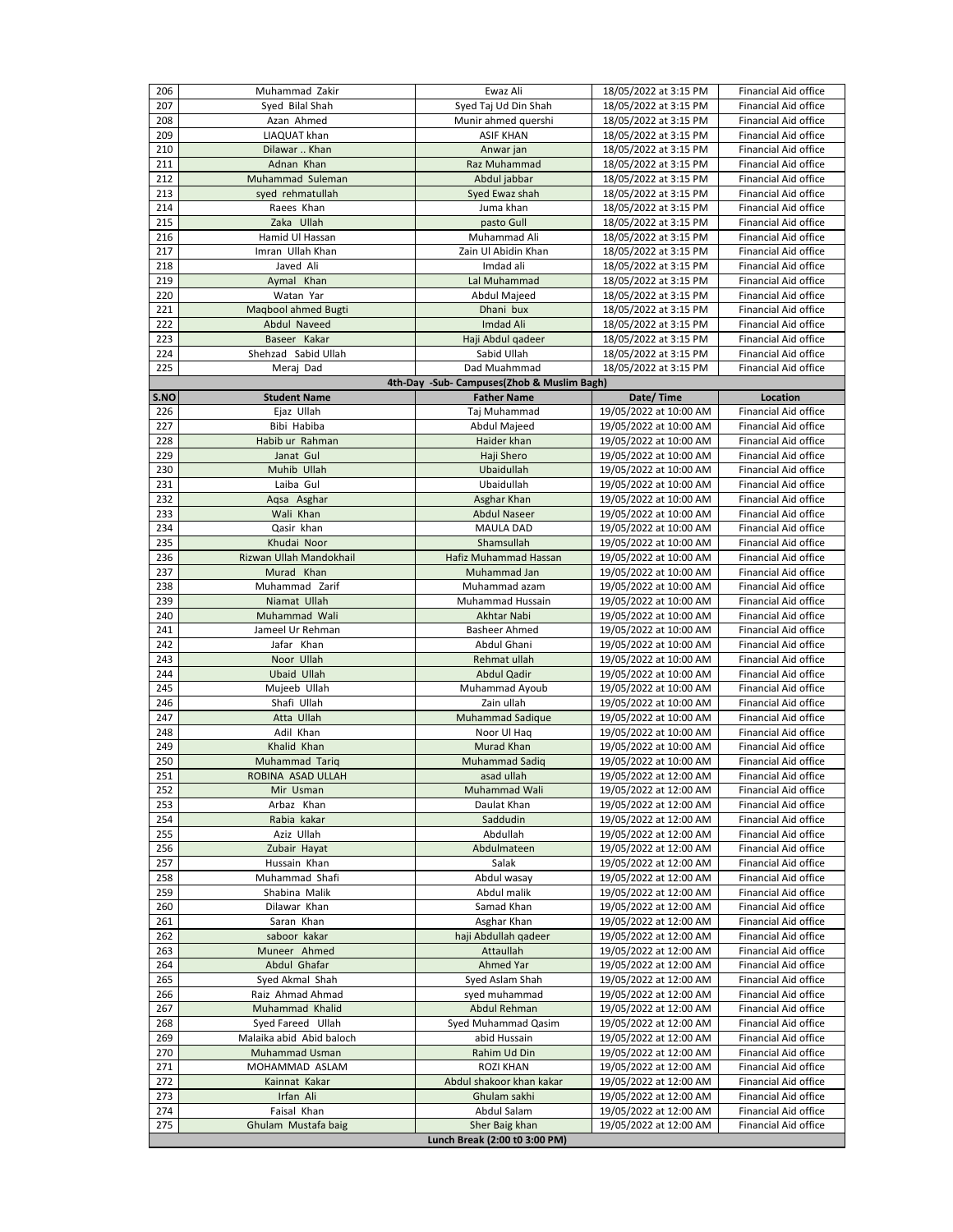| 206        | Muhammad Zakir             | Ewaz Ali                                   | 18/05/2022 at 3:15 PM  | <b>Financial Aid office</b> |
|------------|----------------------------|--------------------------------------------|------------------------|-----------------------------|
| 207        | Syed Bilal Shah            | Syed Taj Ud Din Shah                       | 18/05/2022 at 3:15 PM  | <b>Financial Aid office</b> |
| 208        | Azan Ahmed                 | Munir ahmed quershi                        | 18/05/2022 at 3:15 PM  | <b>Financial Aid office</b> |
| 209        | LIAQUAT khan               | <b>ASIF KHAN</b>                           | 18/05/2022 at 3:15 PM  | <b>Financial Aid office</b> |
| 210        | Dilawar  Khan              | Anwar jan                                  | 18/05/2022 at 3:15 PM  | <b>Financial Aid office</b> |
| 211        | Adnan Khan                 | Raz Muhammad                               | 18/05/2022 at 3:15 PM  | <b>Financial Aid office</b> |
| 212        | Muhammad Suleman           | Abdul jabbar                               | 18/05/2022 at 3:15 PM  | <b>Financial Aid office</b> |
| 213        | syed rehmatullah           | Syed Ewaz shah                             | 18/05/2022 at 3:15 PM  | <b>Financial Aid office</b> |
| 214        | Raees Khan                 | Juma khan                                  | 18/05/2022 at 3:15 PM  | <b>Financial Aid office</b> |
|            |                            |                                            |                        |                             |
| 215        | Zaka Ullah                 | pasto Gull                                 | 18/05/2022 at 3:15 PM  | <b>Financial Aid office</b> |
| 216        | Hamid Ul Hassan            | Muhammad Ali                               | 18/05/2022 at 3:15 PM  | <b>Financial Aid office</b> |
| 217        | Imran Ullah Khan           | Zain Ul Abidin Khan                        | 18/05/2022 at 3:15 PM  | <b>Financial Aid office</b> |
| 218        | Javed Ali                  | Imdad ali                                  | 18/05/2022 at 3:15 PM  | <b>Financial Aid office</b> |
| 219        | Aymal Khan                 | Lal Muhammad                               | 18/05/2022 at 3:15 PM  | <b>Financial Aid office</b> |
| 220        | Watan Yar                  | <b>Abdul Majeed</b>                        | 18/05/2022 at 3:15 PM  | <b>Financial Aid office</b> |
| 221        | <b>Maqbool ahmed Bugti</b> | Dhani bux                                  | 18/05/2022 at 3:15 PM  | <b>Financial Aid office</b> |
| 222        | <b>Abdul Naveed</b>        | <b>Imdad Ali</b>                           | 18/05/2022 at 3:15 PM  | <b>Financial Aid office</b> |
| 223        | Baseer Kakar               | Haji Abdul qadeer                          | 18/05/2022 at 3:15 PM  | <b>Financial Aid office</b> |
| 224        | Shehzad Sabid Ullah        | Sabid Ullah                                | 18/05/2022 at 3:15 PM  | <b>Financial Aid office</b> |
| 225        | Meraj Dad                  | Dad Muahmmad                               | 18/05/2022 at 3:15 PM  | Financial Aid office        |
|            |                            | 4th-Day -Sub- Campuses(Zhob & Muslim Bagh) |                        |                             |
| S.NO       | <b>Student Name</b>        | <b>Father Name</b>                         | Date/Time              | <b>Location</b>             |
| 226        | Ejaz Ullah                 | Taj Muhammad                               | 19/05/2022 at 10:00 AM | <b>Financial Aid office</b> |
| 227        | Bibi Habiba                | <b>Abdul Majeed</b>                        | 19/05/2022 at 10:00 AM | <b>Financial Aid office</b> |
| 228        | Habib ur Rahman            | Haider khan                                | 19/05/2022 at 10:00 AM | <b>Financial Aid office</b> |
| 229        | Janat Gul                  | Haji Shero                                 | 19/05/2022 at 10:00 AM | <b>Financial Aid office</b> |
| 230        | Muhib Ullah                | Ubaidullah                                 | 19/05/2022 at 10:00 AM | <b>Financial Aid office</b> |
| 231        | Laiba Gul                  | Ubaidullah                                 | 19/05/2022 at 10:00 AM | <b>Financial Aid office</b> |
| 232        | Aqsa Asghar                | Asghar Khan                                | 19/05/2022 at 10:00 AM | <b>Financial Aid office</b> |
| 233        | Wali Khan                  | <b>Abdul Naseer</b>                        | 19/05/2022 at 10:00 AM | <b>Financial Aid office</b> |
| 234        | Qasir khan                 | <b>MAULA DAD</b>                           | 19/05/2022 at 10:00 AM | <b>Financial Aid office</b> |
| 235        | Khudai Noor                | Shamsullah                                 | 19/05/2022 at 10:00 AM | <b>Financial Aid office</b> |
| 236        | Rizwan Ullah Mandokhail    | <b>Hafiz Muhammad Hassan</b>               | 19/05/2022 at 10:00 AM | <b>Financial Aid office</b> |
| 237        | Murad Khan                 | Muhammad Jan                               | 19/05/2022 at 10:00 AM | <b>Financial Aid office</b> |
| 238        | Muhammad Zarif             | Muhammad azam                              | 19/05/2022 at 10:00 AM | <b>Financial Aid office</b> |
| 239        | Niamat Ullah               | Muhammad Hussain                           | 19/05/2022 at 10:00 AM | <b>Financial Aid office</b> |
|            | Muhammad Wali              | Akhtar Nabi                                |                        | <b>Financial Aid office</b> |
| 240        |                            |                                            | 19/05/2022 at 10:00 AM |                             |
| 241        | Jameel Ur Rehman           | <b>Basheer Ahmed</b>                       | 19/05/2022 at 10:00 AM | Financial Aid office        |
| 242        | Jafar Khan                 | Abdul Ghani                                | 19/05/2022 at 10:00 AM | <b>Financial Aid office</b> |
| 243        | Noor Ullah                 | Rehmat ullah                               | 19/05/2022 at 10:00 AM | <b>Financial Aid office</b> |
| 244        | <b>Ubaid Ullah</b>         | <b>Abdul Qadir</b>                         | 19/05/2022 at 10:00 AM | <b>Financial Aid office</b> |
| 245        | Mujeeb Ullah               | Muhammad Ayoub                             | 19/05/2022 at 10:00 AM | <b>Financial Aid office</b> |
| 246        | Shafi Ullah                | Zain ullah                                 | 19/05/2022 at 10:00 AM | Financial Aid office        |
| 247        | Atta Ullah                 | <b>Muhammad Sadique</b>                    | 19/05/2022 at 10:00 AM | <b>Financial Aid office</b> |
| 248        | Adil Khan                  | Noor Ul Haq                                | 19/05/2022 at 10:00 AM | <b>Financial Aid office</b> |
| 249        | Khalid Khan                | <b>Murad Khan</b>                          | 19/05/2022 at 10:00 AM | <b>Financial Aid office</b> |
| 250        | Muhammad Tariq             | <b>Muhammad Sadiq</b>                      | 19/05/2022 at 10:00 AM | <b>Financial Aid office</b> |
| 251        | ROBINA ASAD ULLAH          | asad ullah                                 | 19/05/2022 at 12:00 AM | <b>Financial Aid office</b> |
| 252        | Mir Usman                  | Muhammad Wali                              | 19/05/2022 at 12:00 AM | <b>Financial Aid office</b> |
| 253        | Arbaz Khan                 | Daulat Khan                                | 19/05/2022 at 12:00 AM | <b>Financial Aid office</b> |
| 254        | Rabia kakar                | Saddudin                                   | 19/05/2022 at 12:00 AM | <b>Financial Aid office</b> |
| 255        | Aziz Ullah                 | Abdullah                                   | 19/05/2022 at 12:00 AM | <b>Financial Aid office</b> |
| 256        | Zubair Hayat               | Abdulmateen                                | 19/05/2022 at 12:00 AM | <b>Financial Aid office</b> |
| 257        | Hussain Khan               | Salak                                      | 19/05/2022 at 12:00 AM | <b>Financial Aid office</b> |
| 258        | Muhammad Shafi             | Abdul wasay                                | 19/05/2022 at 12:00 AM | <b>Financial Aid office</b> |
| 259        | Shabina Malik              | Abdul malik                                | 19/05/2022 at 12:00 AM | <b>Financial Aid office</b> |
| 260        | Dilawar Khan               | Samad Khan                                 | 19/05/2022 at 12:00 AM | <b>Financial Aid office</b> |
| 261        | Saran Khan                 | Asghar Khan                                | 19/05/2022 at 12:00 AM | <b>Financial Aid office</b> |
| 262        | saboor kakar               | haji Abdullah qadeer                       | 19/05/2022 at 12:00 AM | <b>Financial Aid office</b> |
| 263        | Muneer Ahmed               | Attaullah                                  | 19/05/2022 at 12:00 AM | <b>Financial Aid office</b> |
| 264        | Abdul Ghafar               | <b>Ahmed Yar</b>                           | 19/05/2022 at 12:00 AM | <b>Financial Aid office</b> |
| 265        | Syed Akmal Shah            | Syed Aslam Shah                            | 19/05/2022 at 12:00 AM | <b>Financial Aid office</b> |
| 266        | Raiz Ahmad Ahmad           | syed muhammad                              | 19/05/2022 at 12:00 AM | <b>Financial Aid office</b> |
| 267        | Muhammad Khalid            | <b>Abdul Rehman</b>                        | 19/05/2022 at 12:00 AM | <b>Financial Aid office</b> |
| 268        | Syed Fareed Ullah          | Syed Muhammad Qasim                        | 19/05/2022 at 12:00 AM | <b>Financial Aid office</b> |
| 269        | Malaika abid Abid baloch   | abid Hussain                               | 19/05/2022 at 12:00 AM | <b>Financial Aid office</b> |
| 270        | <b>Muhammad Usman</b>      | Rahim Ud Din                               | 19/05/2022 at 12:00 AM | Financial Aid office        |
| 271        | MOHAMMAD ASLAM             | <b>ROZI KHAN</b>                           | 19/05/2022 at 12:00 AM | <b>Financial Aid office</b> |
|            | Kainnat Kakar              | Abdul shakoor khan kakar                   | 19/05/2022 at 12:00 AM | <b>Financial Aid office</b> |
| 272        | Irfan Ali                  |                                            |                        |                             |
| 273        |                            | Ghulam sakhi                               | 19/05/2022 at 12:00 AM | Financial Aid office        |
|            | Faisal Khan                | Abdul Salam                                | 19/05/2022 at 12:00 AM | <b>Financial Aid office</b> |
| 274<br>275 | Ghulam Mustafa baig        | Sher Baig khan                             | 19/05/2022 at 12:00 AM | <b>Financial Aid office</b> |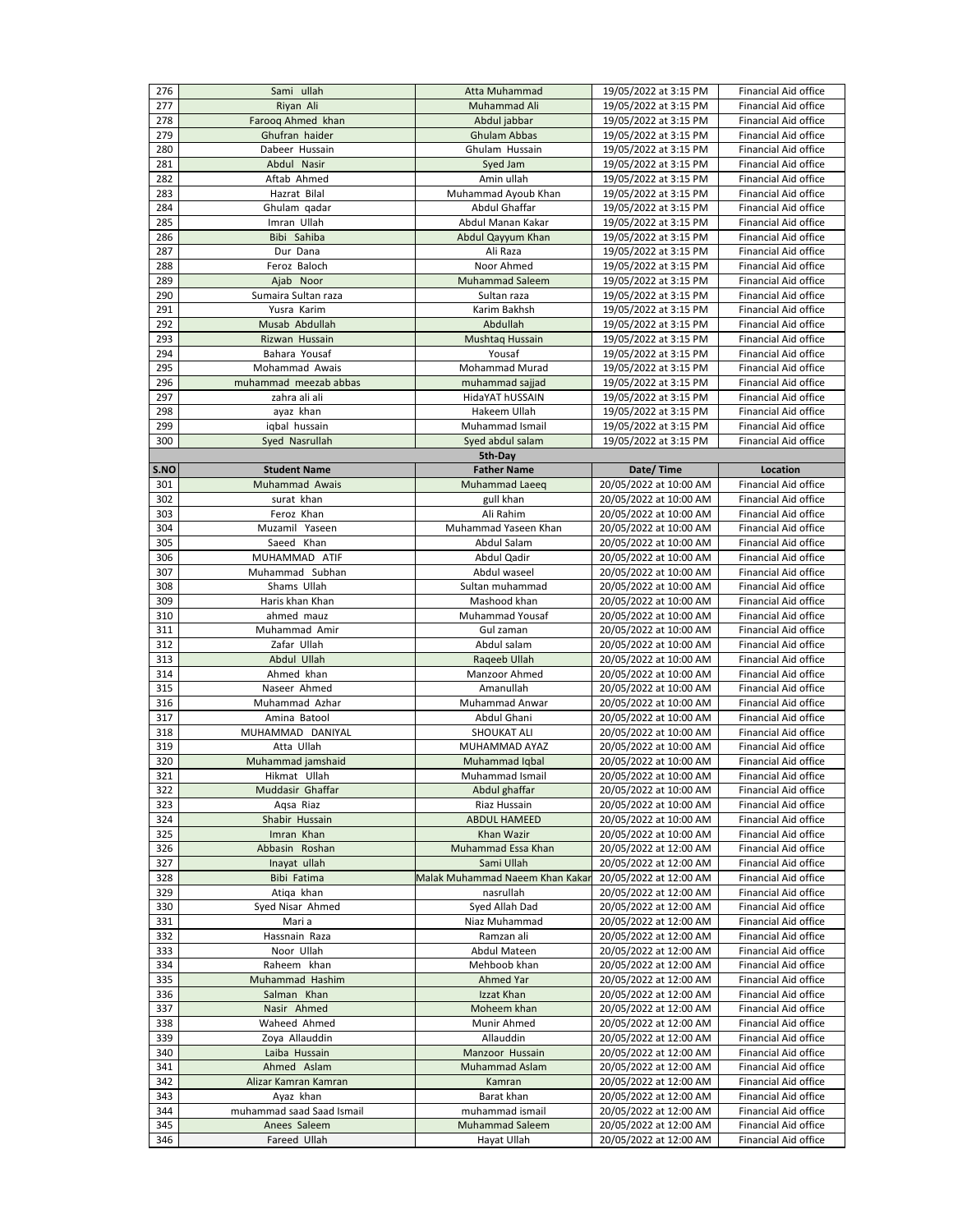| 276  | Sami ullah                | <b>Atta Muhammad</b>            | 19/05/2022 at 3:15 PM  | <b>Financial Aid office</b> |
|------|---------------------------|---------------------------------|------------------------|-----------------------------|
| 277  | Riyan Ali                 | Muhammad Ali                    | 19/05/2022 at 3:15 PM  | <b>Financial Aid office</b> |
| 278  | Farooq Ahmed khan         | Abdul jabbar                    | 19/05/2022 at 3:15 PM  | <b>Financial Aid office</b> |
| 279  | Ghufran haider            | <b>Ghulam Abbas</b>             | 19/05/2022 at 3:15 PM  | Financial Aid office        |
| 280  | Dabeer Hussain            | Ghulam Hussain                  | 19/05/2022 at 3:15 PM  | Financial Aid office        |
| 281  | Abdul Nasir               | Syed Jam                        | 19/05/2022 at 3:15 PM  | Financial Aid office        |
|      | Aftab Ahmed               |                                 |                        |                             |
| 282  |                           | Amin ullah                      | 19/05/2022 at 3:15 PM  | <b>Financial Aid office</b> |
| 283  | Hazrat Bilal              | Muhammad Ayoub Khan             | 19/05/2022 at 3:15 PM  | <b>Financial Aid office</b> |
| 284  | Ghulam qadar              | Abdul Ghaffar                   | 19/05/2022 at 3:15 PM  | <b>Financial Aid office</b> |
| 285  | Imran Ullah               | Abdul Manan Kakar               | 19/05/2022 at 3:15 PM  | <b>Financial Aid office</b> |
| 286  | Bibi Sahiba               | Abdul Qayyum Khan               | 19/05/2022 at 3:15 PM  | <b>Financial Aid office</b> |
| 287  | Dur Dana                  | Ali Raza                        | 19/05/2022 at 3:15 PM  | <b>Financial Aid office</b> |
| 288  | Feroz Baloch              | Noor Ahmed                      | 19/05/2022 at 3:15 PM  | <b>Financial Aid office</b> |
| 289  | Ajab Noor                 | <b>Muhammad Saleem</b>          | 19/05/2022 at 3:15 PM  | <b>Financial Aid office</b> |
| 290  | Sumaira Sultan raza       | Sultan raza                     | 19/05/2022 at 3:15 PM  | <b>Financial Aid office</b> |
| 291  | Yusra Karim               | Karim Bakhsh                    | 19/05/2022 at 3:15 PM  | <b>Financial Aid office</b> |
| 292  | Musab Abdullah            | Abdullah                        | 19/05/2022 at 3:15 PM  | <b>Financial Aid office</b> |
| 293  | Rizwan Hussain            | Mushtaq Hussain                 | 19/05/2022 at 3:15 PM  | <b>Financial Aid office</b> |
| 294  | Bahara Yousaf             | Yousaf                          | 19/05/2022 at 3:15 PM  | <b>Financial Aid office</b> |
| 295  | Mohammad Awais            | <b>Mohammad Murad</b>           | 19/05/2022 at 3:15 PM  | <b>Financial Aid office</b> |
| 296  | muhammad meezab abbas     | muhammad sajjad                 | 19/05/2022 at 3:15 PM  | <b>Financial Aid office</b> |
| 297  | zahra ali ali             | HidaYAT hUSSAIN                 | 19/05/2022 at 3:15 PM  | <b>Financial Aid office</b> |
| 298  | ayaz khan                 | Hakeem Ullah                    | 19/05/2022 at 3:15 PM  | <b>Financial Aid office</b> |
| 299  | iqbal hussain             | Muhammad Ismail                 | 19/05/2022 at 3:15 PM  | <b>Financial Aid office</b> |
| 300  | Syed Nasrullah            | Syed abdul salam                | 19/05/2022 at 3:15 PM  | <b>Financial Aid office</b> |
|      |                           | 5th-Day                         |                        |                             |
| S.NO | <b>Student Name</b>       | <b>Father Name</b>              | Date/Time              | <b>Location</b>             |
| 301  | Muhammad Awais            | Muhammad Laeeq                  | 20/05/2022 at 10:00 AM | <b>Financial Aid office</b> |
| 302  | surat khan                |                                 | 20/05/2022 at 10:00 AM | <b>Financial Aid office</b> |
| 303  | Feroz Khan                | gull khan<br>Ali Rahim          |                        | <b>Financial Aid office</b> |
|      |                           |                                 | 20/05/2022 at 10:00 AM |                             |
| 304  | Muzamil Yaseen            | Muhammad Yaseen Khan            | 20/05/2022 at 10:00 AM | <b>Financial Aid office</b> |
| 305  | Saeed Khan                | Abdul Salam                     | 20/05/2022 at 10:00 AM | <b>Financial Aid office</b> |
| 306  | MUHAMMAD ATIF             | Abdul Qadir                     | 20/05/2022 at 10:00 AM | <b>Financial Aid office</b> |
| 307  | Muhammad Subhan           | Abdul waseel                    | 20/05/2022 at 10:00 AM | <b>Financial Aid office</b> |
| 308  | Shams Ullah               | Sultan muhammad                 | 20/05/2022 at 10:00 AM | Financial Aid office        |
| 309  | Haris khan Khan           | Mashood khan                    | 20/05/2022 at 10:00 AM | <b>Financial Aid office</b> |
| 310  | ahmed mauz                | <b>Muhammad Yousaf</b>          | 20/05/2022 at 10:00 AM | <b>Financial Aid office</b> |
| 311  | Muhammad Amir             | Gul zaman                       | 20/05/2022 at 10:00 AM | <b>Financial Aid office</b> |
| 312  | Zafar Ullah               | Abdul salam                     | 20/05/2022 at 10:00 AM | Financial Aid office        |
| 313  | Abdul Ullah               | Raqeeb Ullah                    | 20/05/2022 at 10:00 AM | Financial Aid office        |
| 314  | Ahmed khan                | Manzoor Ahmed                   | 20/05/2022 at 10:00 AM | <b>Financial Aid office</b> |
| 315  | Naseer Ahmed              | Amanullah                       | 20/05/2022 at 10:00 AM | <b>Financial Aid office</b> |
| 316  | Muhammad Azhar            | <b>Muhammad Anwar</b>           | 20/05/2022 at 10:00 AM | <b>Financial Aid office</b> |
| 317  | Amina Batool              | Abdul Ghani                     | 20/05/2022 at 10:00 AM | Financial Aid office        |
| 318  | MUHAMMAD DANIYAL          | <b>SHOUKAT ALI</b>              | 20/05/2022 at 10:00 AM | <b>Financial Aid office</b> |
| 319  | Atta Ullah                | MUHAMMAD AYAZ                   | 20/05/2022 at 10:00 AM | <b>Financial Aid office</b> |
| 320  | Muhammad jamshaid         | Muhammad Iqbal                  | 20/05/2022 at 10:00 AM | <b>Financial Aid office</b> |
| 321  | Hikmat Ullah              | Muhammad Ismail                 | 20/05/2022 at 10:00 AM | <b>Financial Aid office</b> |
| 322  | Muddasir Ghaffar          | Abdul ghaffar                   | 20/05/2022 at 10:00 AM | <b>Financial Aid office</b> |
| 323  | Aqsa Riaz                 | Riaz Hussain                    | 20/05/2022 at 10:00 AM | Financial Aid office        |
| 324  | Shabir Hussain            | <b>ABDUL HAMEED</b>             | 20/05/2022 at 10:00 AM | <b>Financial Aid office</b> |
| 325  | Imran Khan                | Khan Wazir                      | 20/05/2022 at 10:00 AM | <b>Financial Aid office</b> |
| 326  | Abbasin Roshan            | Muhammad Essa Khan              | 20/05/2022 at 12:00 AM | <b>Financial Aid office</b> |
| 327  | Inayat ullah              | Sami Ullah                      | 20/05/2022 at 12:00 AM | Financial Aid office        |
| 328  | <b>Bibi Fatima</b>        | Malak Muhammad Naeem Khan Kakar | 20/05/2022 at 12:00 AM | <b>Financial Aid office</b> |
| 329  | Atiqa khan                | nasrullah                       | 20/05/2022 at 12:00 AM | <b>Financial Aid office</b> |
| 330  | Syed Nisar Ahmed          | Syed Allah Dad                  | 20/05/2022 at 12:00 AM | <b>Financial Aid office</b> |
| 331  | Mari a                    | Niaz Muhammad                   | 20/05/2022 at 12:00 AM | Financial Aid office        |
| 332  | Hassnain Raza             | Ramzan ali                      | 20/05/2022 at 12:00 AM | Financial Aid office        |
| 333  | Noor Ullah                | Abdul Mateen                    |                        | Financial Aid office        |
|      |                           |                                 | 20/05/2022 at 12:00 AM |                             |
| 334  | Raheem khan               | Mehboob khan                    | 20/05/2022 at 12:00 AM | <b>Financial Aid office</b> |
| 335  | Muhammad Hashim           | <b>Ahmed Yar</b>                | 20/05/2022 at 12:00 AM | <b>Financial Aid office</b> |
| 336  | Salman Khan               | Izzat Khan                      | 20/05/2022 at 12:00 AM | <b>Financial Aid office</b> |
| 337  | Nasir Ahmed               | Moheem khan                     | 20/05/2022 at 12:00 AM | <b>Financial Aid office</b> |
| 338  | Waheed Ahmed              | Munir Ahmed                     | 20/05/2022 at 12:00 AM | <b>Financial Aid office</b> |
| 339  | Zoya Allauddin            | Allauddin                       | 20/05/2022 at 12:00 AM | <b>Financial Aid office</b> |
| 340  | Laiba Hussain             | Manzoor Hussain                 | 20/05/2022 at 12:00 AM | <b>Financial Aid office</b> |
| 341  | Ahmed Aslam               | <b>Muhammad Aslam</b>           | 20/05/2022 at 12:00 AM | <b>Financial Aid office</b> |
| 342  |                           | Kamran                          | 20/05/2022 at 12:00 AM | <b>Financial Aid office</b> |
|      | Alizar Kamran Kamran      |                                 |                        |                             |
| 343  | Ayaz khan                 | Barat khan                      | 20/05/2022 at 12:00 AM | Financial Aid office        |
| 344  | muhammad saad Saad Ismail | muhammad ismail                 | 20/05/2022 at 12:00 AM | <b>Financial Aid office</b> |
| 345  | Anees Saleem              | <b>Muhammad Saleem</b>          | 20/05/2022 at 12:00 AM | <b>Financial Aid office</b> |